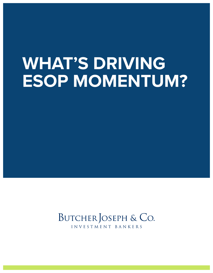# **WHAT'S DRIVING ESOP MOMENTUM?**

# BUTCHER JOSEPH & CO.

INVESTMENT BANKERS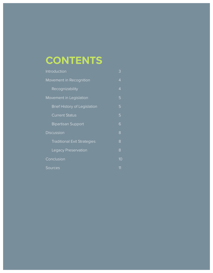# **CONTENTS**

| Introduction                        | 3              |
|-------------------------------------|----------------|
| Movement in Recognition             | $\overline{4}$ |
| Recognizability                     | $\overline{4}$ |
| Movement in Legislation             | 5              |
| <b>Brief History of Legislation</b> | 5              |
| <b>Current Status</b>               | 5              |
| <b>Bipartisan Support</b>           | 6              |
| <b>Discussion</b>                   | 8              |
| <b>Traditional Exit Strategies</b>  | 8              |
| Legacy Preservation                 | 8              |
| Conclusion                          | 10             |
| Sources                             | 11             |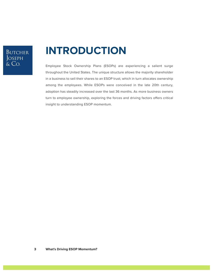### **BUTCHER** JOSEPH<br>& Co.

## **INTRODUCTION**

Employee Stock Ownership Plans (ESOPs) are experiencing a salient surge throughout the United States. The unique structure allows the majority shareholder in a business to sell their shares to an ESOP trust, which in turn allocates ownership among the employees. While ESOPs were conceived in the late 20th century, adoption has steadily increased over the last 36 months. As more business owners turn to employee ownership, exploring the forces and driving factors offers critical insight to understanding ESOP momentum.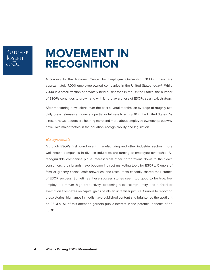## **MOVEMENT IN RECOGNITION**

According to the National Center for Employee Ownership (NCEO), there are approximately 7,000 employee-owned companies in the United States today.<sup>1</sup> While 7,000 is a small fraction of privately-held businesses in the United States, the number of ESOPs continues to grow—and with it—the awareness of ESOPs as an exit strategy.

After monitoring news alerts over the past several months, an average of roughly two daily press releases announce a partial or full sale to an ESOP in the United States. As a result, news readers are hearing more and more about employee ownership; but why now? Two major factors in the equation: recognizability and legislation.

#### *Recognizability*

Although ESOPs first found use in manufacturing and other industrial sectors, more well-known companies in diverse industries are turning to employee ownership. As recognizable companies pique interest from other corporations down to their own consumers, their brands have become indirect marketing tools for ESOPs. Owners of familiar grocery chains, craft breweries, and restaurants candidly shared their stories of ESOP success. Sometimes these success stories seem too good to be true: low employee turnover, high productivity, becoming a tax-exempt entity, and deferral or exemption from taxes on capital gains paints an unfamiliar picture. Curious to report on these stories, big names in media have published content and brightened the spotlight on ESOPs. All of this attention garners public interest in the potential benefits of an ESOP.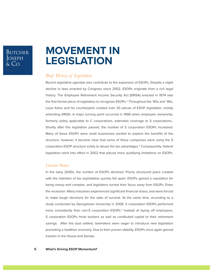### **BUTCHER** Joseph<br>Joseph<br>& Co.

### **MOVEMENT IN LEGISLATION**

### *Brief History of Legislation*

Recent legislative agendas also contribute to the expansion of ESOPs. Despite a slight decline in laws enacted by Congress since 2002, ESOPs originate from a rich legal history. The Employee Retirement Income Security Act (ERISA) enacted in 1974 was the first formal piece of legislation to recognize ESOPs.2 Throughout the '80s and '90s, Louis Kelso and his counterparts created over 20 pieces of ESOP legislation, mostly amending ERISA. A major turning point occurred in 1998 when employee ownership, formerly solely applicable to C corporations, extended coverage to S corporations,. Shortly after this legislation passed, the number of S corporation ESOPs increased. Many of these ESOPs were small businesses excited to explore the benefits of the structure; however, it became clear that some of these companies were using the S corporation ESOP structure solely to abuse the tax advantages.<sup>3</sup> Consequently, federal legislation went into effect in 2002 that placed more qualifying limitations on ESOPs.

#### *Current Status*

In the early 2000s, the number of ESOPs declined. Poorly structured plans created with the intention of tax exploitation quickly fell apart. ESOPs gained a reputation for being messy and complex, and legislators turned their focus away from ESOPs. Enter the recession. Many industries experienced significant financial stress, and were forced to make tough decisions for the sake of survival. At the same time, according to a study conducted by Georgetown University in 2008, S corporation ESOPs performed more consistently than non-S corporation ESOPs.4 Instead of laying off employees, S corporation ESOPs hired workers as well as contibuted capital to their retirement savings. After the dust settled, lawmakers were eager to introduce new legislation promoting a healthier economy. Due to their proven stability, ESOPs once again gained traction in the House and Senate.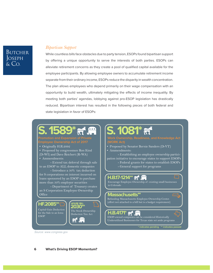### Butcher JOSEPH  $\&$  Co.

### *Bipartisan Support*

While countless bills face obstacles due to party tension, ESOPs found bipartisan support by offering a unique opportunity to serve the interests of both parties. ESOPs can alleviate retirement concerns as they create a pool of qualified capital available for the employee participants. By allowing employee owners to accumulate retirement income separate from their ordinary income, ESOPs reduce the disparity in wealth concentration. The plan allows employees who depend primarily on their wage compensation with an opportunity to build wealth, ultimately mitigating the effects of income inequality. By meeting both parties' agendas, lobbying against pro-ESOP legislation has drastically reduced. Bipartisan interest has resulted in the following pieces of both federal and state legislation in favor of ESOPs:

# **S. 1589\***

**Employee Ownership Act of 2017**

• Originally H.R.2092

• Proposed by congressmen Ron Kind (D-WI) and Dave Reichert (R-WA) • Ammendments:

 - Extend tax deferral through sale to an ESOP to ALL domestic companies

- Introduce a 50% tax deduction for S corporations on interest incurred on loans sponsored by an ESOP to purchase more than 50% employer securities

 - Department of Treasury creates an S Corporation Employee Ownership **Office** 

**HOUSE BILL**

The Stock Ownership Deduction Tax Act

**HF.2085\*\* 2030\*\***

### **081\***

**(WORK Act)**

- Proposed by Senator Bernie Sanders (D-VT)
- Ammendments:

 - Establishing an employee ownership participation initiative to encourage states to support ESOPs

- Federal grants for states to establish ESOPs
- General support for programs

### **H.B.17-1214\*\***

Encourage Employee Ownership of existing small businesses in Colorado

#### **Massachusetts\*\***

Refunding Massachusetts Employee Ownership Center. (effort not attached to a bill but is a budget requirement)

### **H.B.4171\***

**FIBLE INTERNATION**<br>ESOP-owned companies can be considered Historically Underutilized Businesses for Texas state set aside programs

**\* indicates pending \*\* indicates passed**

*Source: www.congress.gov*

Capital Gain Deduction for the Sale to an Iowa

ESOP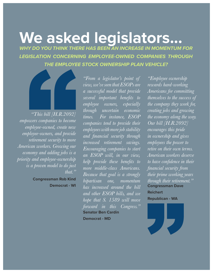# **We asked legislators...**

*WHY DO YOU THINK THERE HAS BEEN AN INCREASE IN MOMENTUM FOR LEGISLATION CONCERNING EMPLOYEE-OWNED COMPANIES THROUGH THE EMPLOYEE STOCK OWNERSHIP PLAN VEHICLE?*



*"This bill [H.R.2092] empowers companies to become employee-owned, create new employee-owners, and provide retirement security to more American workers. Growing our economy and adding jobs is a priority and employee-ownership is a proven model to do just that."*

**Democrat - WI**

*"From a legislator's point of view, we've seen that ESOPs are a successful model that provide several important benefits to employee owners, especially through uncertain economic times. For instance, ESOP companies tend to provide their employees with more job stability and financial security through increased retirement savings. Encouraging companies to start an ESOP will, in our view, help provide these benefits to more middle-class Americans. Because that goal is a strongly bipartisan one, momentum has increased around the bill and other ESOP bills, and we hope that S. 1589 will move forward in this Congress."* **Congressman Rob Kind** bipartisan one, momentum through their retirement." **Senator Ben Cardin**

**Democrat - MD**

*"Employee ownership rewards hard-working Americans for committing themselves to the success of the company they work for, creating jobs and growing the economy along the way. Our bill [H.R.2092] encourages this pride in ownership and gives employees the power to retire on their own terms. American workers deserve to have confidence in their financial security from their prime working years*  **Congressman Dave Reichert**

**Republican - WA**

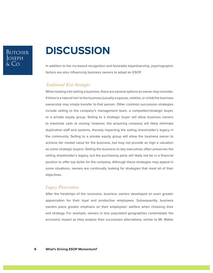### **BUTCHER** JOSEPH

# **DISCUSSION**

In addition to the increased recognition and favorable bipartisanship, psychographic factors are also influencing business owners to adopt an ESOP.

### *Traditional Exit Strategies*

When looking into selling a business, there are several options an owner may consider. If there is a natural heir to the business (usually a spouse, relative, or child) the business ownership may simply transfer to that person. Other common succession strategies include selling to the company's management team, a competitor/strategic buyer, or a private equity group. Selling to a strategic buyer will allow business owners to maximize cash at closing; however, the acquiring company will likely eliminate duplicative staff and systems, thereby impacting the selling shareholder's legacy in the community. Selling to a private equity group will allow the business owner to achieve fair market value for the business, but may not provide as high a valuation as some strategic buyers. Selling the business to key executives often preserves the selling shareholder's legacy, but the purchasing party will likely not be in a financial position to offer top dollar for the company. Although these strategies may appeal in some situations, owners are continually looking for strategies that meet all of their objectives.

### *Legacy Preservation*

After the hardships of the recession, business owners developed an even greater appreciation for their loyal and productive employees. Subsequently, business owners place greater emphasis on their employees' welfare when choosing their exit strategy. For example, owners in less populated geographies contemplate the economic impact as they analyze their succession alternatives, similar to Mr. Waller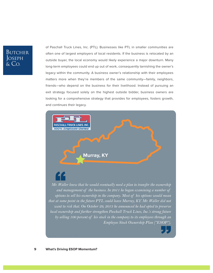### BUTCHER JOSEPH  $\&$  Co.

of Paschall Truck Lines, Inc. (PTL). Businesses like PTL in smaller communities are often one of largest employers of local residents. If the business is relocated by an outside buyer, the local economy would likely experience a major downturn. Many long-term employees could end up out of work, consequently tarnishing the owner's legacy within the community. A business owner's relationship with their employees matters more when they're members of the same community—family, neighbors, friends—who depend on the business for their livelihood. Instead of pursuing an exit strategy focused solely on the highest outside bidder, business owners are looking for a comprehensive strategy that provides for employees, fosters growth, and continues their legacy.

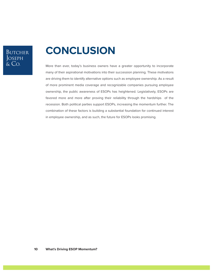### BUTCHER JOSEPH<br>& Co.

# **CONCLUSION**

More than ever, today's business owners have a greater opportunity to incorporate many of their aspirational motivations into their succession planning. These motivatons are driving them to identify alternative options such as employee ownership. As a result of more prominent media coverage and recognizable companies pursuing employee ownership, the public awareness of ESOPs has heightened. Legislatively, ESOPs are favored more and more after proving their reliability through the hardships of the recession. Both political parties support ESOPs, increasing the momentum further. The combination of these factors is building a substantial foundation for continued interest in employee ownership, and as such, the future for ESOPs looks promising.